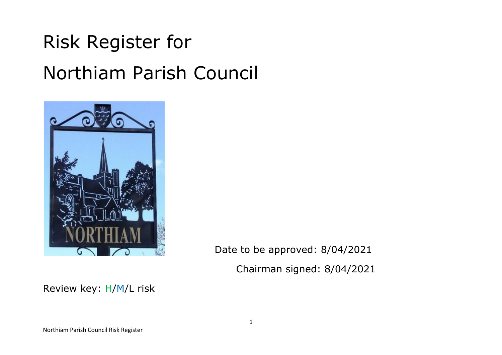# Risk Register for Northiam Parish Council



Date to be approved: 8/04/2021 Chairman signed: 8/04/2021

Review key: H/M/L risk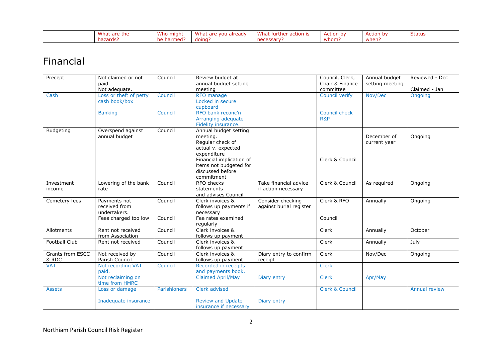| <b>Whay</b><br>are the | Who might      | What<br>already<br>VOU<br><b>POLE</b> | What<br>'rtne.<br>ш<br>acuon is  | ∍ction by | Action by | <b>- -</b><br>Status |
|------------------------|----------------|---------------------------------------|----------------------------------|-----------|-----------|----------------------|
| azarusi                | ne<br>narmed : | doing                                 | - - - - - - - -<br>.ssarv<br>nec | whom      | when      |                      |

#### Financial

| Precept                 | Not claimed or not            | Council      | Review budget at         |                         | Council, Clerk,            | Annual budget   | Reviewed - Dec       |
|-------------------------|-------------------------------|--------------|--------------------------|-------------------------|----------------------------|-----------------|----------------------|
|                         | paid.                         |              | annual budget setting    |                         | Chair & Finance            | setting meeting |                      |
|                         | Not adequate.                 |              | meeting                  |                         | committee                  |                 | Claimed - Jan        |
| Cash                    | Loss or theft of petty        | Council      | RFO manage               |                         | Council verify             | Nov/Dec         | Ongoing              |
|                         | cash book/box                 |              | Locked in secure         |                         |                            |                 |                      |
|                         |                               |              | cupboard                 |                         |                            |                 |                      |
|                         | <b>Banking</b>                | Council      | RFO bank reconc'n        |                         | Council check              |                 |                      |
|                         |                               |              | Arranging adequate       |                         | R&P                        |                 |                      |
|                         |                               |              | Fidelity insurance.      |                         |                            |                 |                      |
| <b>Budgeting</b>        | Overspend against             | Council      | Annual budget setting    |                         |                            |                 |                      |
|                         | annual budget                 |              | meeting.                 |                         |                            | December of     | Ongoing              |
|                         |                               |              | Regular check of         |                         |                            | current year    |                      |
|                         |                               |              | actual v. expected       |                         |                            |                 |                      |
|                         |                               |              | expenditure              |                         |                            |                 |                      |
|                         |                               |              | Financial implication of |                         | Clerk & Council            |                 |                      |
|                         |                               |              | items not budgeted for   |                         |                            |                 |                      |
|                         |                               |              | discussed before         |                         |                            |                 |                      |
|                         |                               |              | commitment               |                         |                            |                 |                      |
| Investment              | Lowering of the bank          | Council      | RFO checks               | Take financial advice   | Clerk & Council            | As required     | Ongoing              |
| income                  | rate                          |              | statements               | if action necessary     |                            |                 |                      |
|                         |                               |              | and advises Council      |                         |                            |                 |                      |
|                         |                               |              | Clerk invoices &         |                         | Clerk & RFO                |                 |                      |
| Cemetery fees           | Payments not<br>received from | Council      |                          | Consider checking       |                            | Annually        | Ongoing              |
|                         | undertakers.                  |              | follows up payments if   | against burial register |                            |                 |                      |
|                         |                               |              | necessary                |                         |                            |                 |                      |
|                         | Fees charged too low          | Council      | Fee rates examined       |                         | Council                    |                 |                      |
|                         |                               |              | regularly                |                         |                            |                 |                      |
| Allotments              | Rent not received             | Council      | Clerk invoices &         |                         | Clerk                      | Annually        | October              |
|                         | from Association              |              | follows up payment       |                         |                            |                 |                      |
| <b>Football Club</b>    | Rent not received             | Council      | Clerk invoices &         |                         | Clerk                      | Annually        | July                 |
|                         |                               |              | follows up payment       |                         |                            |                 |                      |
| <b>Grants from ESCC</b> | Not received by               | Council      | Clerk invoices &         | Diary entry to confirm  | Clerk                      | Nov/Dec         | Ongoing              |
| & RDC                   | Parish Council                |              | follows up payment       | receipt                 |                            |                 |                      |
| <b>VAT</b>              | Not recording VAT             | Council      | Recorded in receipts     |                         | <b>Clerk</b>               |                 |                      |
|                         | paid.                         |              | and payments book.       |                         |                            |                 |                      |
|                         | Not reclaiming on             |              | <b>Claimed April/May</b> | Diary entry             | <b>Clerk</b>               | Apr/May         |                      |
|                         | time from HMRC                |              |                          |                         |                            |                 |                      |
| <b>Assets</b>           | Loss or damage                | Parishioners | Clerk advised            |                         | <b>Clerk &amp; Council</b> |                 | <b>Annual review</b> |
|                         |                               |              |                          |                         |                            |                 |                      |
|                         | Inadequate insurance          |              | <b>Review and Update</b> | Diary entry             |                            |                 |                      |
|                         |                               |              | insurance if necessary   |                         |                            |                 |                      |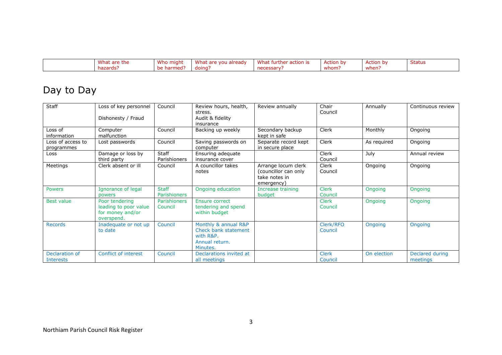| 3.41<br>-the<br>are<br>ווהוועו | Who<br>miant   | Wh<br>already<br>VOL. | wnat<br>CEION IS<br>, uner<br>nи. | cion bi             | tion b | bldlu: |
|--------------------------------|----------------|-----------------------|-----------------------------------|---------------------|--------|--------|
| naz<br>zards                   | ne<br>med<br>. | aoing:                | יים ב                             | <b>MAIR</b><br>wnom | when   |        |

## Day to Day

| Staff                           | Loss of key personnel<br>Dishonesty / Fraud                               | Council                             | Review hours, health,<br>stress.<br>Audit & fidelity<br>insurance                       | Review annually                                                            | Chair<br>Council        | Annually    | Continuous review           |
|---------------------------------|---------------------------------------------------------------------------|-------------------------------------|-----------------------------------------------------------------------------------------|----------------------------------------------------------------------------|-------------------------|-------------|-----------------------------|
| Loss of<br>information          | Computer<br>malfunction                                                   | Council                             | Backing up weekly                                                                       | Secondary backup<br>kept in safe                                           | Clerk                   | Monthly     | Ongoing                     |
| Loss of access to<br>programmes | Lost passwords                                                            | Council                             | Saving passwords on<br>computer                                                         | Separate record kept<br>in secure place                                    | <b>Clerk</b>            | As required | Ongoing                     |
| Loss                            | Damage or loss by<br>third party                                          | <b>Staff</b><br>Parishioners        | Ensuring adequate<br>insurance cover                                                    |                                                                            | <b>Clerk</b><br>Council | July        | Annual review               |
| Meetings                        | Clerk absent or ill                                                       | Council                             | A councillor takes<br>notes                                                             | Arrange locum clerk<br>(councillor can only<br>take notes in<br>emergency) | Clerk<br>Council        | Ongoing     | Ongoing                     |
| <b>Powers</b>                   | Ignorance of legal<br><b>powers</b>                                       | <b>Staff</b><br><b>Parishioners</b> | Ongoing education                                                                       | Increase training<br>budget                                                | <b>Clerk</b><br>Council | Ongoing     | Ongoing                     |
| <b>Best value</b>               | Poor tendering<br>leading to poor value<br>for money and/or<br>overspend. | Parishioners<br>Council             | <b>Ensure correct</b><br>tendering and spend<br>within budget                           |                                                                            | <b>Clerk</b><br>Council | Ongoing     | Ongoing                     |
| <b>Records</b>                  | Inadequate or not up<br>to date                                           | Council                             | Monthly & annual R&P<br>Check bank statement<br>with R&P.<br>Annual return.<br>Minutes. |                                                                            | Clerk/RFO<br>Council    | Ongoing     | Ongoing                     |
| Declaration of<br>Interests     | Conflict of interest                                                      | Council                             | Declarations invited at<br>all meetings                                                 |                                                                            | <b>Clerk</b><br>Council | On election | Declared during<br>meetings |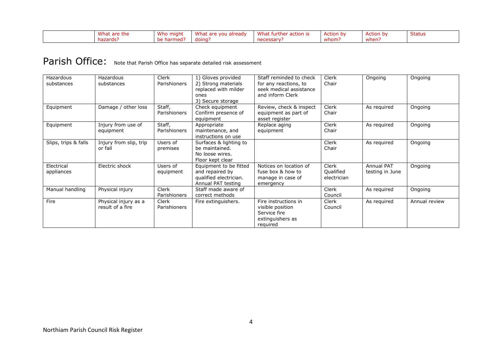| What are the | Who might                         | What are<br>vou already | What<br>ੋ੧r action is ।<br>At further u | .<br>Action<br>bv | .<br>Action<br>bv | <b>Status</b> |
|--------------|-----------------------------------|-------------------------|-----------------------------------------|-------------------|-------------------|---------------|
| hazards:     | $\cdot$ harmed $\cdot$<br>nΔ<br>. | doing:                  | necessary                               | whom:             | when:             |               |

# Parish Office: Note that Parish Office has separate detailed risk assessment

| Hazardous<br>substances  | Hazardous<br>substances                  | <b>Clerk</b><br>Parishioners | 1) Gloves provided<br>2) Strong materials<br>replaced with milder<br>ones<br>3) Secure storage | Staff reminded to check<br>for any reactions, to<br>seek medical assistance<br>and inform Clerk | <b>Clerk</b><br>Chair                    | Ongoing                              | Ongoing       |
|--------------------------|------------------------------------------|------------------------------|------------------------------------------------------------------------------------------------|-------------------------------------------------------------------------------------------------|------------------------------------------|--------------------------------------|---------------|
| Equipment                | Damage / other loss                      | Staff,<br>Parishioners       | Check equipment<br>Confirm presence of<br>equipment                                            | Review, check & inspect<br>equipment as part of<br>asset register                               | <b>Clerk</b><br>Chair                    | As required                          | Ongoing       |
| Equipment                | Injury from use of<br>equipment          | Staff,<br>Parishioners       | Appropriate<br>maintenance, and<br>instructions on use                                         | Replace aging<br>equipment                                                                      | <b>Clerk</b><br>Chair                    | As required                          | Ongoing       |
| Slips, trips & falls     | Injury from slip, trip<br>or fall        | Users of<br>premises         | Surfaces & lighting to<br>be maintained.<br>No loose wires.<br>Floor kept clear                |                                                                                                 | <b>Clerk</b><br>Chair                    | As required                          | Ongoing       |
| Electrical<br>appliances | Electric shock                           | Users of<br>equipment        | Equipment to be fitted<br>and repaired by<br>qualified electrician.<br>Annual PAT testing      | Notices on location of<br>fuse box & how to<br>manage in case of<br>emergency                   | <b>Clerk</b><br>Qualified<br>electrician | <b>Annual PAT</b><br>testing in June | Ongoing       |
| Manual handling          | Physical injury                          | <b>Clerk</b><br>Parishioners | Staff made aware of<br>correct methods                                                         |                                                                                                 | <b>Clerk</b><br>Council                  | As required                          | Ongoing       |
| Fire                     | Physical injury as a<br>result of a fire | <b>Clerk</b><br>Parishioners | Fire extinguishers.                                                                            | Fire instructions in<br>visible position<br>Service fire<br>extinguishers as<br>required        | <b>Clerk</b><br>Council                  | As required                          | Annual review |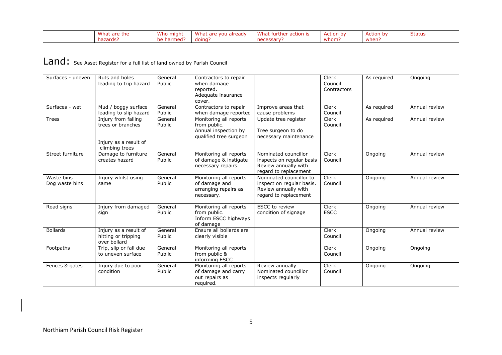| What are the | Who might      | What are you already | What fur<br>rther action is | .<br>Action<br>bv | . .<br>Action<br>hv | <b>Status</b> |
|--------------|----------------|----------------------|-----------------------------|-------------------|---------------------|---------------|
| hazards:     | рe<br>narmed : | doing                | necessary                   | whom:             | when:               |               |

#### Land: See Asset Register for a full list of land owned by Parish Council

| Surfaces - uneven            | Ruts and holes<br>leading to trip hazard                                            | General<br>Public | Contractors to repair<br>when damage<br>reported.<br>Adequate insurance<br>cover.        |                                                                                                       | Clerk<br>Council<br>Contractors | As required | Ongoing       |
|------------------------------|-------------------------------------------------------------------------------------|-------------------|------------------------------------------------------------------------------------------|-------------------------------------------------------------------------------------------------------|---------------------------------|-------------|---------------|
| Surfaces - wet               | Mud / boggy surface<br>leading to slip hazard                                       | General<br>Public | Contractors to repair<br>when damage reported                                            | Improve areas that<br>cause problems                                                                  | Clerk<br>Council                | As required | Annual review |
| <b>Trees</b>                 | Injury from falling<br>trees or branches<br>Injury as a result of<br>climbing trees | General<br>Public | Monitoring all reports<br>from public.<br>Annual inspection by<br>qualified tree surgeon | Update tree register<br>Tree surgeon to do<br>necessary maintenance                                   | Clerk<br>Council                | As required | Annual review |
| Street furniture             | Damage to furniture<br>creates hazard                                               | General<br>Public | Monitoring all reports<br>of damage & instigate<br>necessary repairs.                    | Nominated councillor<br>inspects on regular basis<br>Review annually with<br>regard to replacement    | Clerk<br>Council                | Ongoing     | Annual review |
| Waste bins<br>Dog waste bins | Injury whilst using<br>same                                                         | General<br>Public | Monitoring all reports<br>of damage and<br>arranging repairs as<br>necessary.            | Nominated councillor to<br>inspect on regular basis.<br>Review annually with<br>regard to replacement | Clerk<br>Council                | Ongoing     | Annual review |
| Road signs                   | Injury from damaged<br>sign                                                         | General<br>Public | Monitoring all reports<br>from public.<br>Inform ESCC highways<br>of damage              | <b>ESCC</b> to review<br>condition of signage                                                         | Clerk<br><b>ESCC</b>            | Ongoing     | Annual review |
| <b>Bollards</b>              | Injury as a result of<br>hitting or tripping<br>over bollard                        | General<br>Public | Ensure all bollards are<br>clearly visible                                               |                                                                                                       | Clerk<br>Council                | Ongoing     | Annual review |
| Footpaths                    | Trip, slip or fall due<br>to uneven surface                                         | General<br>Public | Monitoring all reports<br>from public &<br>informing ESCC                                |                                                                                                       | Clerk<br>Council                | Ongoing     | Ongoing       |
| Fences & gates               | Injury due to poor<br>condition                                                     | General<br>Public | Monitoring all reports<br>of damage and carry<br>out repairs as<br>required.             | Review annually<br>Nominated councillor<br>inspects regularly                                         | Clerk<br>Council                | Ongoing     | Ongoing       |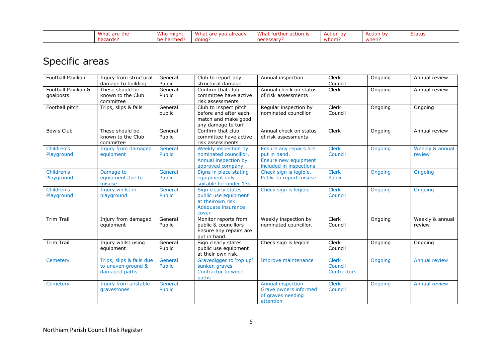| Wha.<br>are the | Who<br>miahi | What<br>aiready<br>VOL. | What<br>acuor. | hv<br>$\Lambda$ ction h | hv<br>,ction. | <b>Status</b> |
|-----------------|--------------|-------------------------|----------------|-------------------------|---------------|---------------|
| rns.            | nc<br>       | doina                   | . .            | whom:                   | when:         |               |

### Specific areas

| <b>Football Pavilion</b>         | Injury from structural<br>damage to building                    | General<br>Public        | Club to report any<br>structural damage                                                         | Annual inspection                                                                         | Clerk<br>Council                              | Ongoing | Annual review             |
|----------------------------------|-----------------------------------------------------------------|--------------------------|-------------------------------------------------------------------------------------------------|-------------------------------------------------------------------------------------------|-----------------------------------------------|---------|---------------------------|
| Football Pavilion &<br>goalposts | These should be<br>known to the Club<br>committee               | General<br>Public        | Confirm that club<br>committee have active<br>risk assessments                                  | Annual check on status<br>of risk assessments                                             | Clerk                                         | Ongoing | Annual review             |
| Football pitch                   | Trips, slips & falls                                            | General<br>public        | Club to inspect pitch<br>before and after each<br>match and make good<br>any damage to turf     | Regular inspection by<br>nominated councillor                                             | Clerk<br>Council                              | Ongoing | Ongoing                   |
| <b>Bowls Club</b>                | These should be<br>known to the Club<br>committee               | General<br>Public        | Confirm that club<br>committee have active<br>risk assessments                                  | Annual check on status<br>of risk assessments                                             | Clerk                                         | Ongoing | Annual review             |
| Children's<br>Playground         | Injury from damaged<br>equipment                                | General<br><b>Public</b> | Weekly inspection by<br>nominated councillor.<br>Annual inspection by<br>approved company       | Ensure any repairs are<br>put in hand.<br>Ensure new equipment<br>included in inspections | <b>Clerk</b><br>Council                       | Ongoing | Weekly & annual<br>review |
| Children's<br>Playground         | Damage to<br>equipment due to<br>misuse                         | General<br><b>Public</b> | Signs in place stating<br>equipment only<br>suitable for under 13s                              | Check sign is legible.<br>Public to report misuse                                         | <b>Clerk</b><br><b>Public</b>                 | Ongoing | Ongoing                   |
| Children's<br>Playground         | Injury whilst in<br>playground                                  | General<br><b>Public</b> | Sign clearly states<br>public use equipment<br>at theirown risk.<br>Adequate insurance<br>cover | Check sign is legible                                                                     | <b>Clerk</b><br>Council                       | Ongoing | Ongoing                   |
| <b>Trim Trail</b>                | Injury from damaged<br>equipment                                | General<br>Public        | Monitor reports from<br>public & councillors<br>Ensure any repairs are<br>put in hand.          | Weekly inspection by<br>nominated councillor.                                             | Clerk<br>Council                              | Ongoing | Weekly & annual<br>review |
| <b>Trim Trail</b>                | Injury whilst using<br>equipment                                | General<br>Public        | Sign clearly states<br>public use equipment<br>at their own risk.                               | Check sign is legible                                                                     | Clerk<br>Council                              | Ongoing | Ongoing                   |
| Cemetery                         | Trips, slips & falls due<br>to uneven ground &<br>damaged paths | General<br><b>Public</b> | Gravedigger to 'top up'<br>sunken graves<br>Contractor to weed<br>paths                         | Improve maintenance                                                                       | <b>Clerk</b><br>Council<br><b>Contractors</b> | Ongoing | <b>Annual review</b>      |
| <b>Cemetery</b>                  | Injury from unstable<br>gravestones                             | General<br><b>Public</b> |                                                                                                 | Annual inspection<br>Grave owners informed<br>of graves needing<br>attention              | <b>Clerk</b><br>Council                       | Ongoing | <b>Annual review</b>      |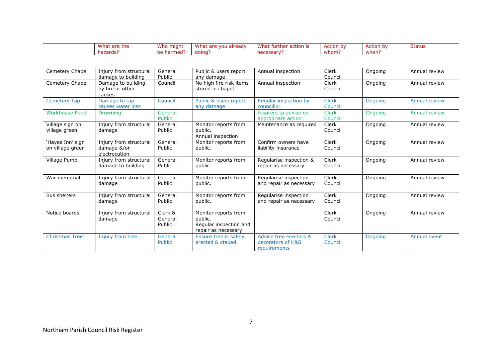| Wha<br>ire the | Who might     | What<br>a already –<br><b>VOU</b><br><b>ALC</b> | wnat<br>furthe<br>ction | ction<br>$\overline{1}$ | $\Lambda$ $\Gamma$ <sup>+</sup><br>hv<br>ction | <b>Status</b> |
|----------------|---------------|-------------------------------------------------|-------------------------|-------------------------|------------------------------------------------|---------------|
| hazards        | ∍rmed≀<br>ıаı | doing                                           | <b>COOM</b>             | whom:                   | when                                           |               |

| Cemetery Chapel                      | Injury from structural<br>damage to building           | General<br>Public            | Public & users report<br>any damage                                              | Annual inspection                                           | Clerk<br>Council        | Ongoing | Annual review        |
|--------------------------------------|--------------------------------------------------------|------------------------------|----------------------------------------------------------------------------------|-------------------------------------------------------------|-------------------------|---------|----------------------|
| Cemetery Chapel                      | Damage to building<br>by fire or other<br>causes       | Council                      | No high fire risk items<br>stored in chapel                                      | Annual inspection                                           | Clerk<br>Council        | Ongoing | Annual review        |
| <b>Cemetery Tap</b>                  | Damage to tap<br>causes water loss                     | Council                      | Public & users report<br>any damage                                              | Regular inspection by<br>councillor                         | <b>Clerk</b><br>Council | Ongoing | <b>Annual review</b> |
| <b>Workhouse Pond</b>                | <b>Drowning</b>                                        | General<br>Public            |                                                                                  | Insurers to advise on<br>appropriate action                 | <b>Clerk</b><br>Council | Ongoing | Annual review        |
| Village sign on<br>village green     | Injury from structural<br>damage                       | General<br>Public            | Monitor reports from<br>public.<br>Annual inspection                             | Maintenance as required                                     | Clerk<br>Council        | Ongoing | Annual review        |
| 'Hayes Inn' sign<br>on village green | Injury from structural<br>damage &/or<br>electrocution | General<br>Public            | Monitor reports from<br>public.                                                  | Confirm owners have<br>liability insurance                  | Clerk<br>Council        | Ongoing | Annual review        |
| Village Pump                         | Injury from structural<br>damage to building           | General<br>Public            | Monitor reports from<br>public.                                                  | Regularise inspection &<br>repair as necessary              | Clerk<br>Council        | Ongoing | Annual review        |
| War memorial                         | Injury from structural<br>damage                       | General<br>Public            | Monitor reports from<br>public.                                                  | Regularise inspection<br>and repair as necessary            | Clerk<br>Council        | Ongoing | Annual review        |
| <b>Bus shelters</b>                  | Injury from structural<br>damage                       | General<br>Public            | Monitor reports from<br>public.                                                  | Regularise inspection<br>and repair as necessary            | Clerk<br>Council        | Ongoing | Annual review        |
| Notice boards                        | Injury from structural<br>damage                       | Clerk &<br>General<br>Public | Monitor reports from<br>public.<br>Regular inspection and<br>repair as necessary |                                                             | Clerk<br>Council        | Ongoing | Annual review        |
| <b>Christmas Tree</b>                | Injury from tree                                       | General<br><b>Public</b>     | Ensure tree is safely<br>erected & staked.                                       | Advise tree erectors &<br>decorators of H&S<br>requirements | <b>Clerk</b><br>Council | Ongoing | Annual event         |